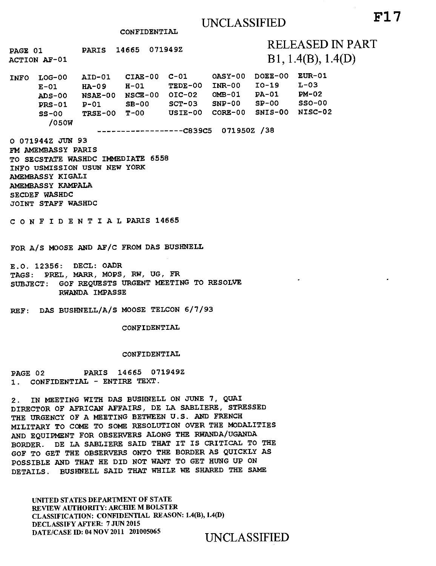CONFIDENTIAL

PAGE 01 PARIS 14665 071949Z RELEASED IN PART  $\overline{\text{Acrion}}$   $\overline{\text{AF-01}}$   $\overline{\text{B1}}$ , 1.4(B), 1.4(D) INFO LOG-00 E-01 HA-09 H-01 TEDE-00 INR-00 ADS-00 NSAE-00 NSCE-00 01C-02 OMB-01 PRS-01 P-01 SB-00 SCT-03 SNP-00 SS-00 /050W  $AID-01$   $CIAE-00$   $C-01$ TRSE-00 T-00 USIE-00 CORE-00 SNIS-00 NISC-02 DOEE-00 EUR-01 TEDE-00 INR-00 IO-19 PA-01 SP-00  $L-03$ PM-02 SSO-00 C839C5 071950Z /38 O 071944Z JUN 93 FM AMEMBASSY PARIS TO SECSTATE WASHDC IMMEDIATE 6558 INFO USMISSION USUN NEW YORK AMEMBASSY KIGALI AMEMBASSY KAMPALA SECDEF WASHDC JOINT STAFF WASHDC CONFIDENTIALPARIS 14665 FOR A/S MOOSE AND AF/C FROM DAS BUSHNELL E.O. 12356: DECL: OADR TAGS: PREL, MARR, MOPS, RW, UG, FR SUBJECT: GOF REQUESTS URGENT MEETING TO RESOLVE RWANDA IMPASSE REF: DAS BUSHNELL/A/S MOOSE TELCON 6/7/93 CONFIDENTIAL CONFIDENTIAL PAGE 02 PARIS 14665 071949Z 1. CONFIDENTIAL - ENTIRE TEXT. 2. IN MEETING WITH DAS BUSHNELL ON JUNE 7, QUAI DIRECTOR OF AFRICAN AFFAIRS, DE LA SABLIERE, STRESSED THE URGENCY OF A MEETING BETWEEN U.S. AND FRENCH MILITARY TO COME TO SOME RESOLUTION OVER THE MODALITIES AND EQUIPMENT FOR OBSERVERS ALONG THE RWANDA/UGANDA BORDER. DE LA SABLIERE SAID THAT IT IS CRITICAL TO THE

GOF TO GET THE OBSERVERS ONTO THE BORDER AS QUICKLY AS POSSIBLE AND THAT HE DID NOT WANT TO GET HUNG UP ON DETAILS. BUSHNELL SAID THAT WHILE WE SHARED THE SAME

UNITED STATES DEPARTMENT OF STATE REVIEW AUTHORITY: ARCHIE M BOLSTER CLASSIFICATION: CONFIDENTIAL REASON: 1.4(B), 1.4(D) DECLASSIFY AFTER: 7 JUN 2015 DATE/CASE ID: 04 NOV 2011 201005065 UNCLASSIFIED